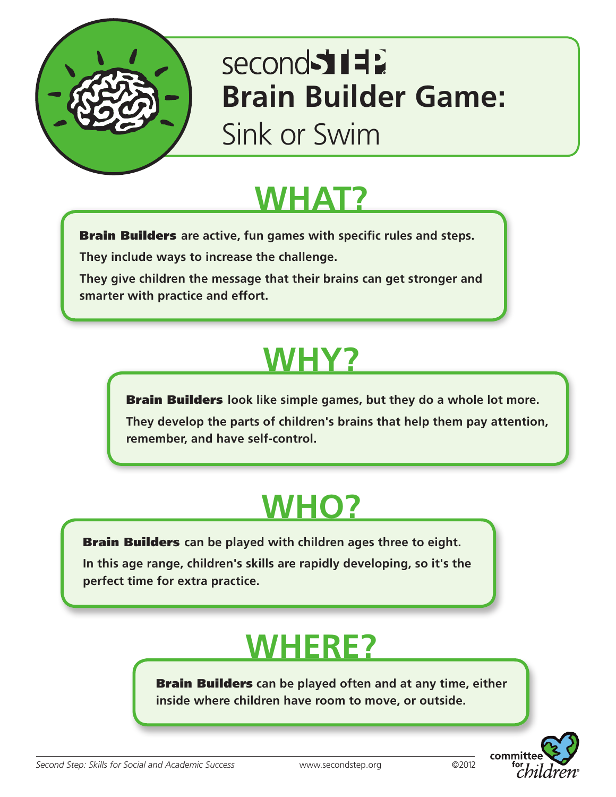

# second 511 **Brain Builder Game:**

Sink or Swim

## **WHAT?**

Brain Builders **are active, fun games with specific rules and steps.**

**They include ways to increase the challenge.** 

**They give children the message that their brains can get stronger and smarter with practice and effort.**

# **WHY?**

Brain Builders **look like simple games, but they do a whole lot more.** 

**They develop the parts of children's brains that help them pay attention, remember, and have self-control.**

## **WHO?**

Brain Builders **can be played with children ages three to eight.** 

**In this age range, children's skills are rapidly developing, so it's the perfect time for extra practice.**

## **WHERE?**

Brain Builders **can be played often and at any time, either inside where children have room to move, or outside.**